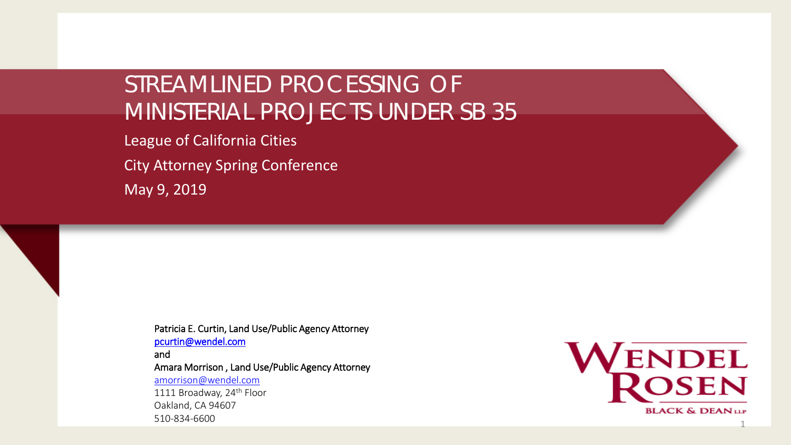## STREAMLINED PROCESSING OF MINISTERIAL PROJECTS UNDER SB 35

League of California Cities City Attorney Spring Conference

May 9, 2019

Patricia E. Curtin, Land Use/Public Agency Attorney [pcurtin@wendel.com](mailto:pcurtin@wendel.com) and Amara Morrison , Land Use/Public Agency Attorney [amorrison@wendel.com](mailto:amorrison@wendel.com) 1111 Broadway, 24<sup>th</sup> Floor Oakland, CA 94607 510-834-6600

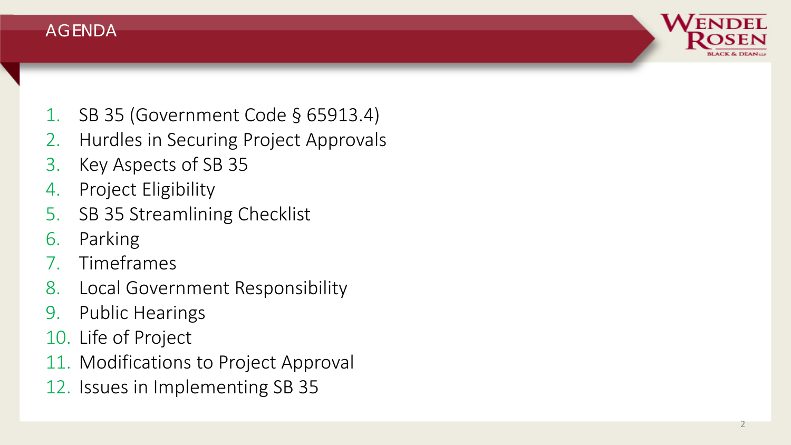



- 2. Hurdles in Securing Project Approvals
- 3. Key Aspects of SB 35
- 4. Project Eligibility
- 5. SB 35 Streamlining Checklist
- 6. Parking
- 7. Timeframes
- 8. Local Government Responsibility
- 9. Public Hearings
- 10. Life of Project
- 11. Modifications to Project Approval
- 12. Issues in Implementing SB 35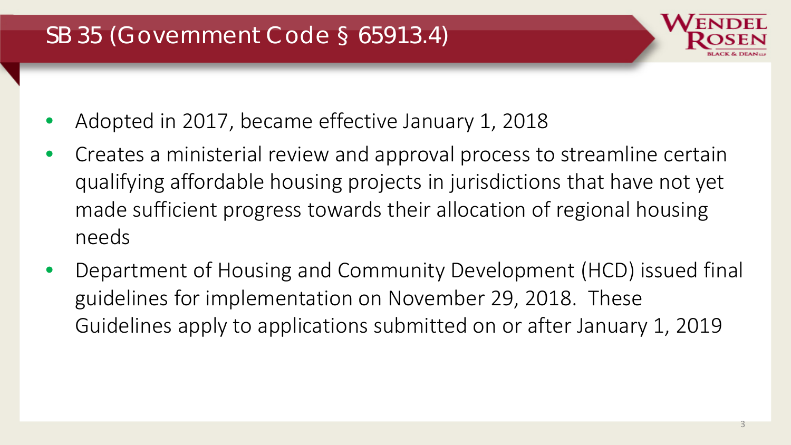# SB 35 (Government Code § 65913.4)

- Adopted in 2017, became effective January 1, 2018
- Creates a ministerial review and approval process to streamline certain qualifying affordable housing projects in jurisdictions that have not yet made sufficient progress towards their allocation of regional housing needs
- Department of Housing and Community Development (HCD) issued final guidelines for implementation on November 29, 2018. These Guidelines apply to applications submitted on or after January 1, 2019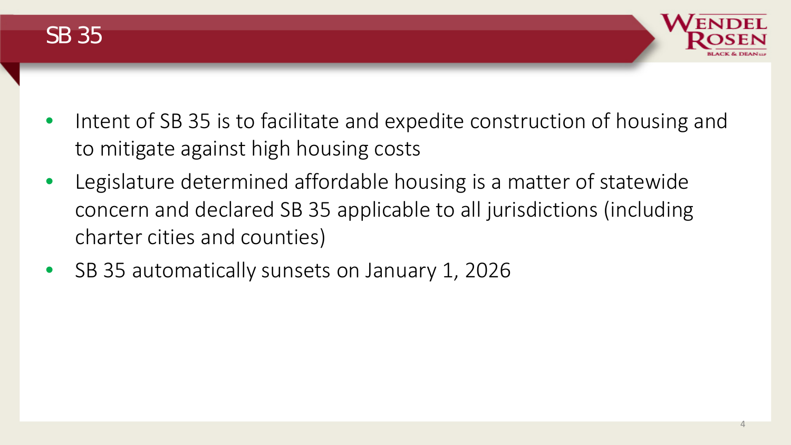



- Intent of SB 35 is to facilitate and expedite construction of housing and to mitigate against high housing costs
- Legislature determined affordable housing is a matter of statewide concern and declared SB 35 applicable to all jurisdictions (including charter cities and counties)
- SB 35 automatically sunsets on January 1, 2026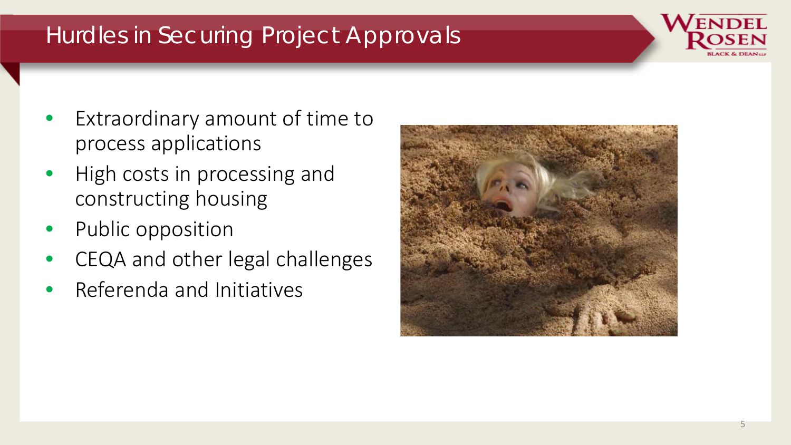# Hurdles in Securing Project Approvals

- Extraordinary amount of time to process applications
- High costs in processing and constructing housing
- Public opposition
- CEQA and other legal challenges
- Referenda and Initiatives

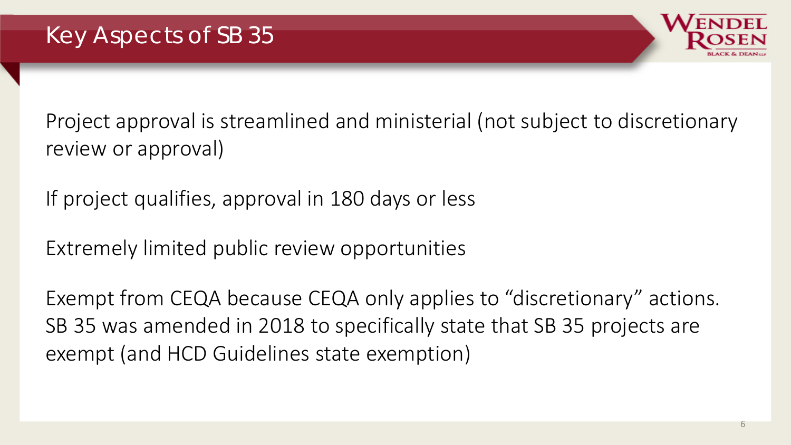

Project approval is streamlined and ministerial (not subject to discretionary review or approval)

If project qualifies, approval in 180 days or less

Extremely limited public review opportunities

Exempt from CEQA because CEQA only applies to "discretionary" actions. SB 35 was amended in 2018 to specifically state that SB 35 projects are exempt (and HCD Guidelines state exemption)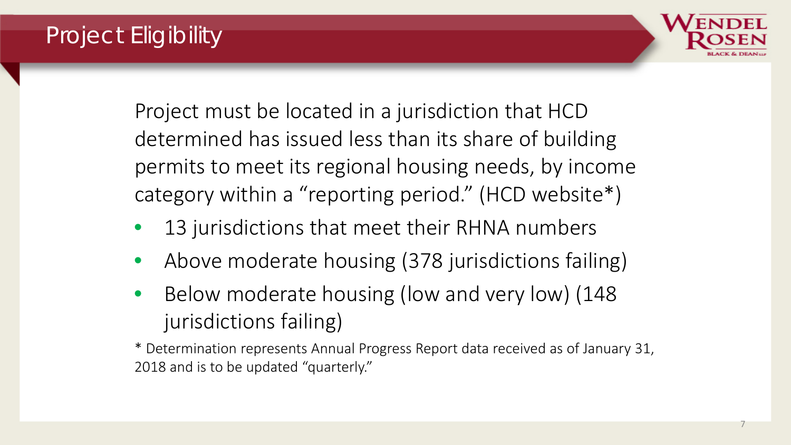# Project Eligibility



Project must be located in a jurisdiction that HCD determined has issued less than its share of building permits to meet its regional housing needs, by income category within a "reporting period." (HCD website\*)

- 13 jurisdictions that meet their RHNA numbers
- Above moderate housing (378 jurisdictions failing)
- Below moderate housing (low and very low) (148 jurisdictions failing)
- \* Determination represents Annual Progress Report data received as of January 31, 2018 and is to be updated "quarterly."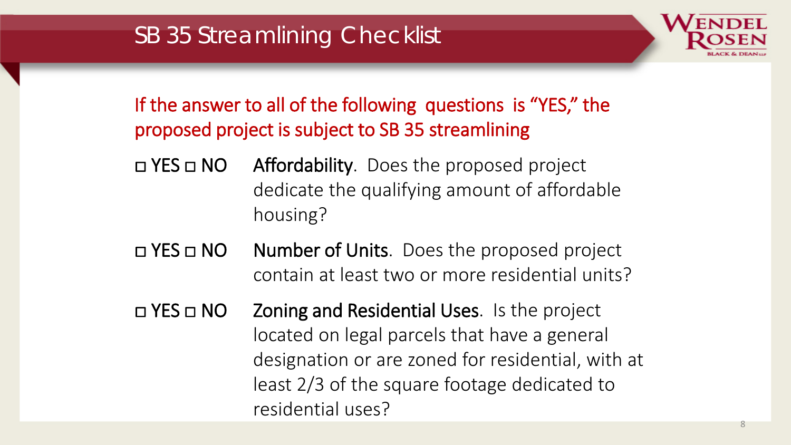

- □ YES □ NO Affordability. Does the proposed project dedicate the qualifying amount of affordable housing?
- □ YES □ NO Number of Units. Does the proposed project contain at least two or more residential units?
- □ YES □ NO Zoning and Residential Uses. Is the project located on legal parcels that have a general designation or are zoned for residential, with at least 2/3 of the square footage dedicated to residential uses?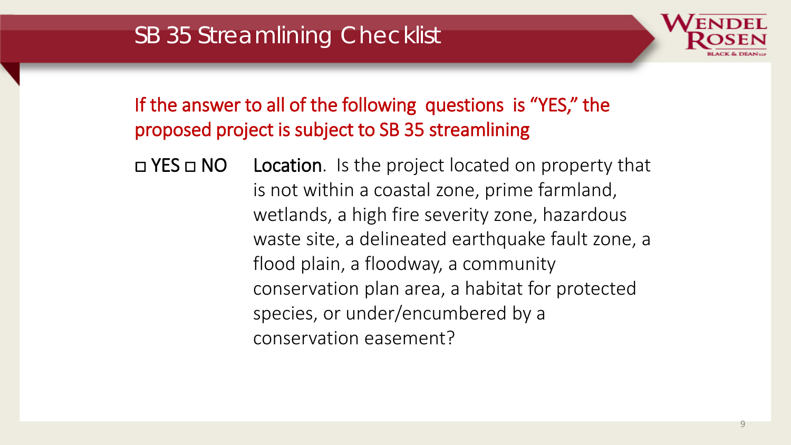

□ YES □ NO Location. Is the project located on property that is not within a coastal zone, prime farmland, wetlands, a high fire severity zone, hazardous waste site, a delineated earthquake fault zone, a flood plain, a floodway, a community conservation plan area, a habitat for protected species, or under/encumbered by a conservation easement?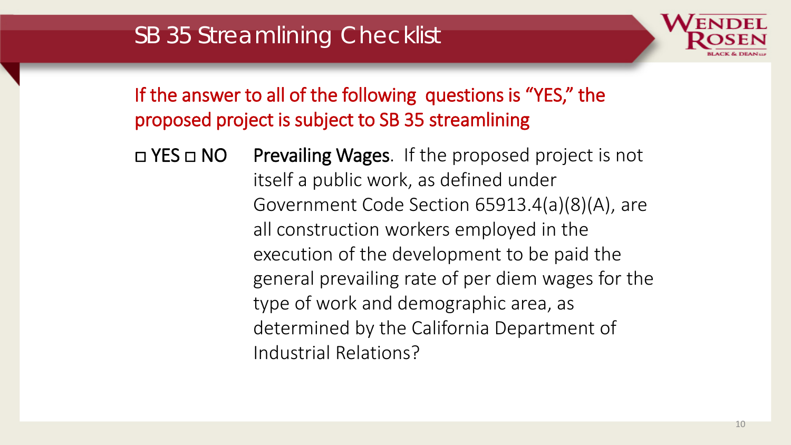

□ YES □ NO Prevailing Wages. If the proposed project is not itself a public work, as defined under Government Code Section 65913.4(a)(8)(A), are all construction workers employed in the execution of the development to be paid the general prevailing rate of per diem wages for the type of work and demographic area, as determined by the California Department of Industrial Relations?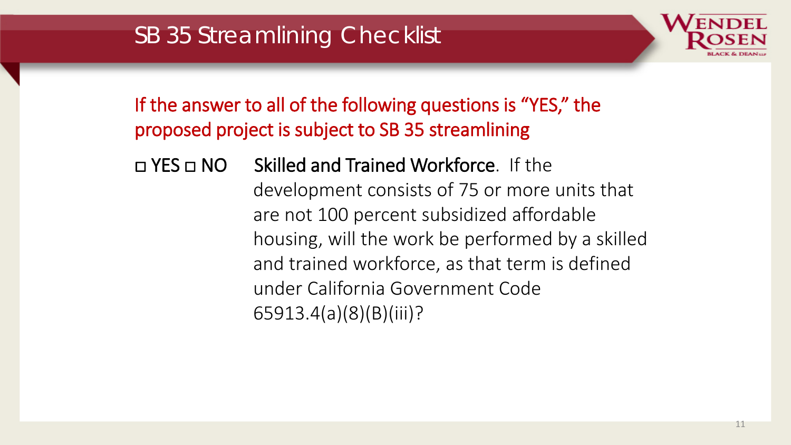# SB 35 Streamlining Checklist



If the answer to all of the following questions is "YES," the proposed project is subject to SB 35 streamlining

□ YES □ NO Skilled and Trained Workforce. If the development consists of 75 or more units that are not 100 percent subsidized affordable housing, will the work be performed by a skilled and trained workforce, as that term is defined under California Government Code 65913.4(a)(8)(B)(iii)?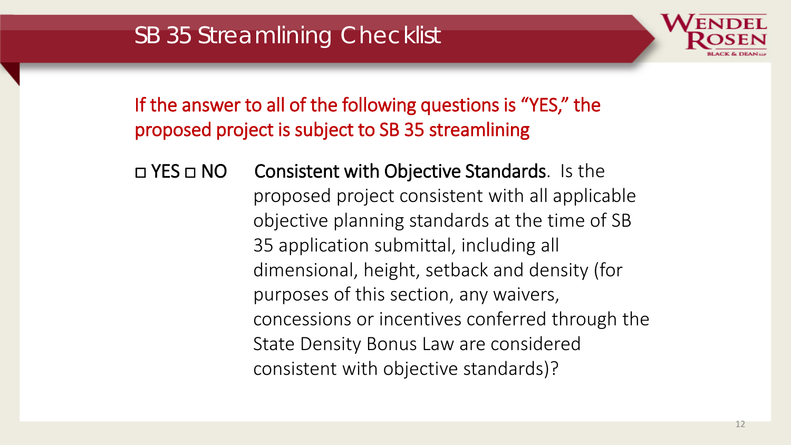

□ YES □ NO Consistent with Objective Standards. Is the proposed project consistent with all applicable objective planning standards at the time of SB 35 application submittal, including all dimensional, height, setback and density (for purposes of this section, any waivers, concessions or incentives conferred through the State Density Bonus Law are considered consistent with objective standards)?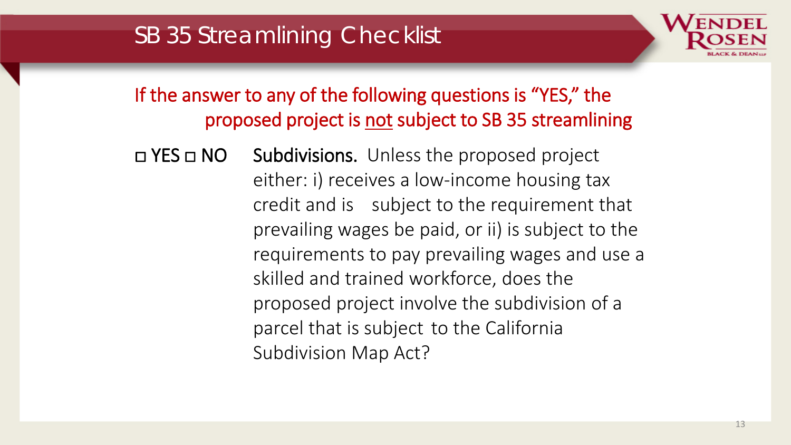

□ YES □ NO Subdivisions. Unless the proposed project either: i) receives a low-income housing tax credit and is subject to the requirement that prevailing wages be paid, or ii) is subject to the requirements to pay prevailing wages and use a skilled and trained workforce, does the proposed project involve the subdivision of a parcel that is subject to the California Subdivision Map Act?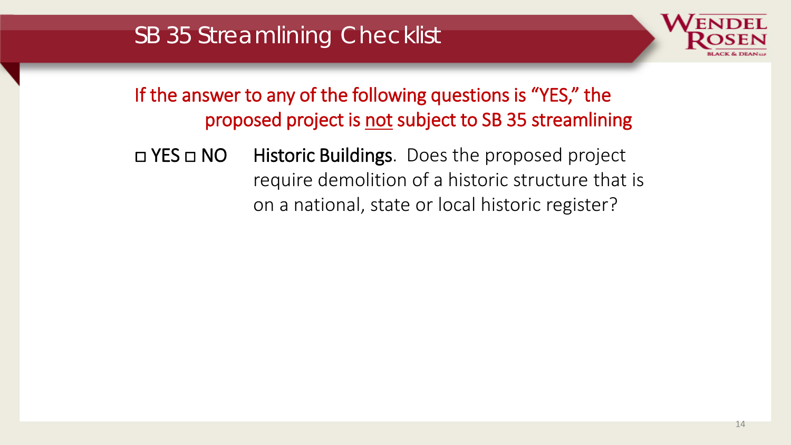

#### □ YES □ NO Historic Buildings. Does the proposed project require demolition of a historic structure that is on a national, state or local historic register?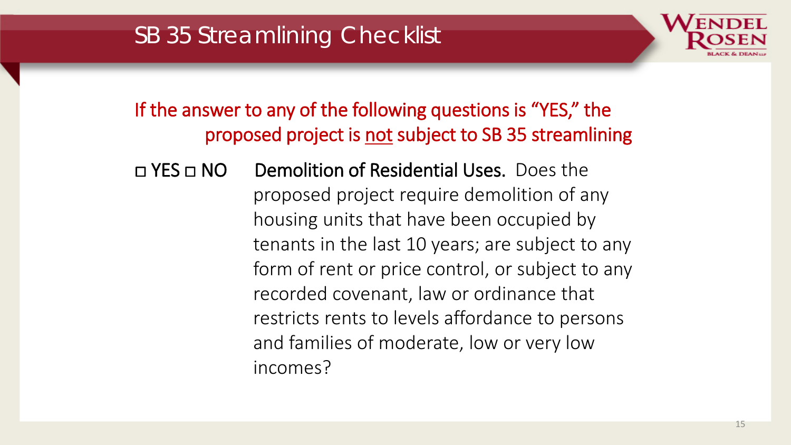# SB 35 Streamlining Checklist

If the answer to any of the following questions is "YES," the proposed project is not subject to SB 35 streamlining

□ YES □ NO Demolition of Residential Uses. Does the proposed project require demolition of any housing units that have been occupied by tenants in the last 10 years; are subject to any form of rent or price control, or subject to any recorded covenant, law or ordinance that restricts rents to levels affordance to persons and families of moderate, low or very low incomes?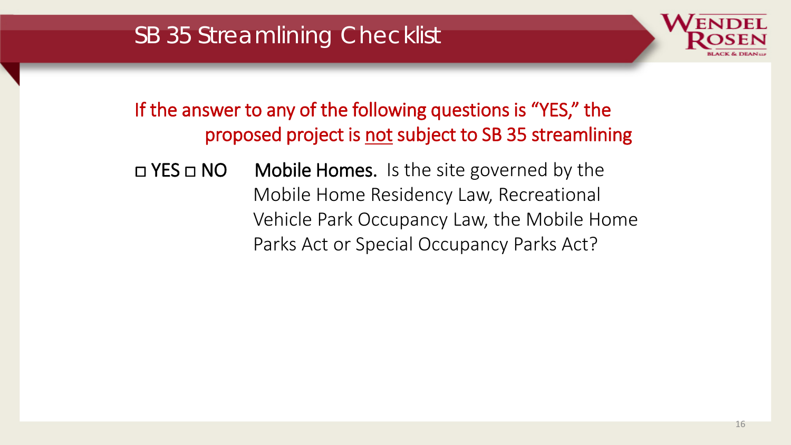# SB 35 Streamlining Checklist



If the answer to any of the following questions is "YES," the proposed project is not subject to SB 35 streamlining

□ YES □ NO Mobile Homes. Is the site governed by the Mobile Home Residency Law, Recreational Vehicle Park Occupancy Law, the Mobile Home Parks Act or Special Occupancy Parks Act?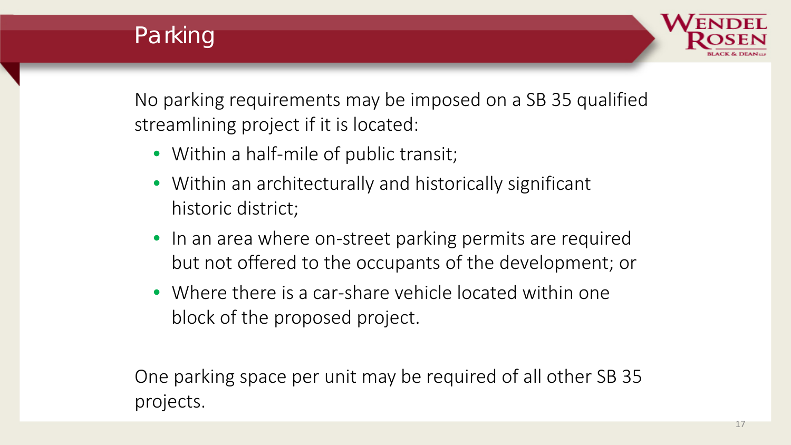



No parking requirements may be imposed on a SB 35 qualified streamlining project if it is located:

- Within a half-mile of public transit;
- Within an architecturally and historically significant historic district;
- In an area where on-street parking permits are required but not offered to the occupants of the development; or
- Where there is a car-share vehicle located within one block of the proposed project.

One parking space per unit may be required of all other SB 35 projects.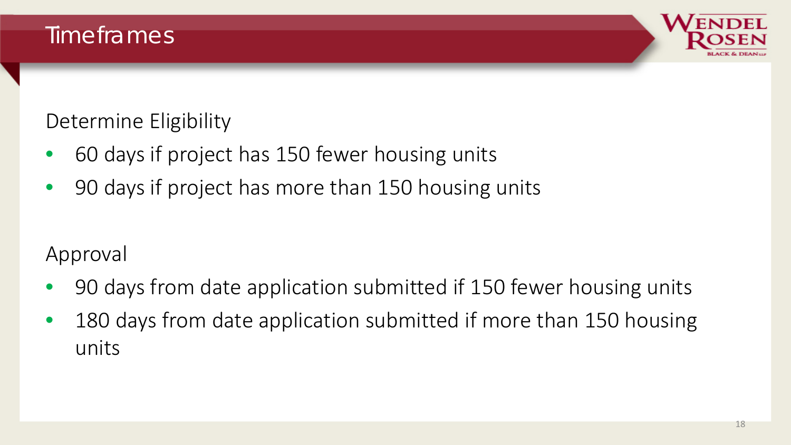

Determine Eligibility

- 60 days if project has 150 fewer housing units
- 90 days if project has more than 150 housing units

#### Approval

- 90 days from date application submitted if 150 fewer housing units
- 180 days from date application submitted if more than 150 housing units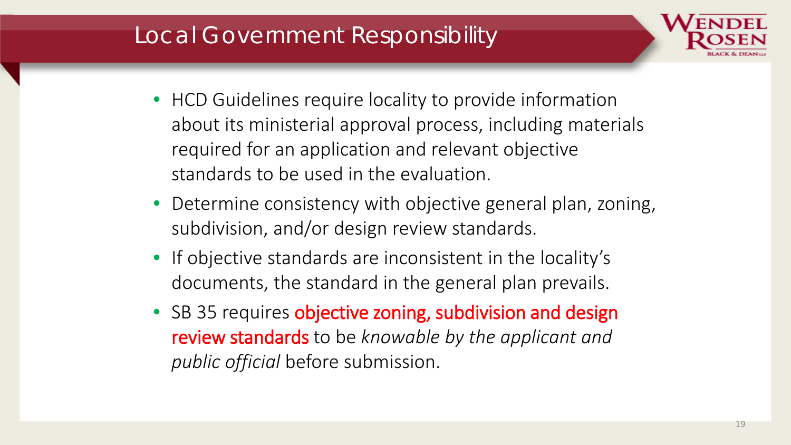## Local Government Responsibility



- HCD Guidelines require locality to provide information about its ministerial approval process, including materials required for an application and relevant objective standards to be used in the evaluation.
- Determine consistency with objective general plan, zoning, subdivision, and/or design review standards.
- If objective standards are inconsistent in the locality's documents, the standard in the general plan prevails.
- SB 35 requires objective zoning, subdivision and design review standards to be *knowable by the applicant and public official* before submission.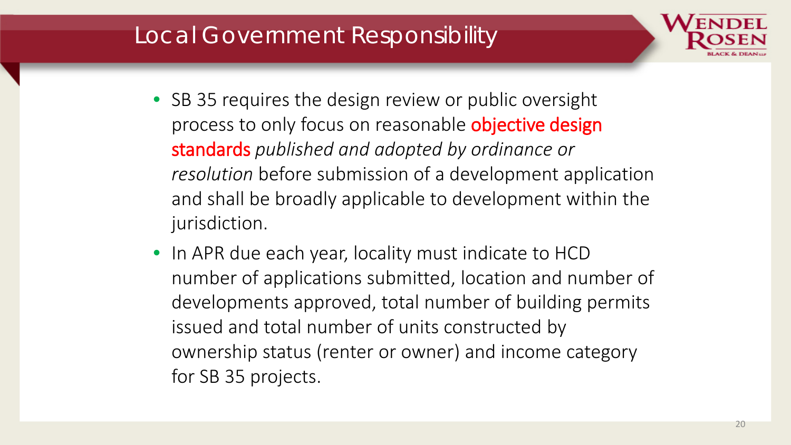## Local Government Responsibility



- SB 35 requires the design review or public oversight process to only focus on reasonable objective design standards *published and adopted by ordinance or resolution* before submission of a development application and shall be broadly applicable to development within the jurisdiction.
- In APR due each year, locality must indicate to HCD number of applications submitted, location and number of developments approved, total number of building permits issued and total number of units constructed by ownership status (renter or owner) and income category for SB 35 projects.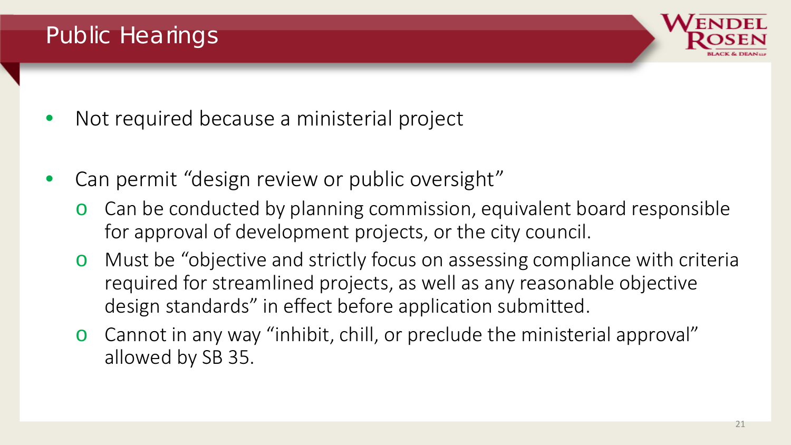## Public Hearings



- Not required because a ministerial project
- Can permit "design review or public oversight"
	- o Can be conducted by planning commission, equivalent board responsible for approval of development projects, or the city council.
	- o Must be "objective and strictly focus on assessing compliance with criteria required for streamlined projects, as well as any reasonable objective design standards" in effect before application submitted.
	- o Cannot in any way "inhibit, chill, or preclude the ministerial approval" allowed by SB 35.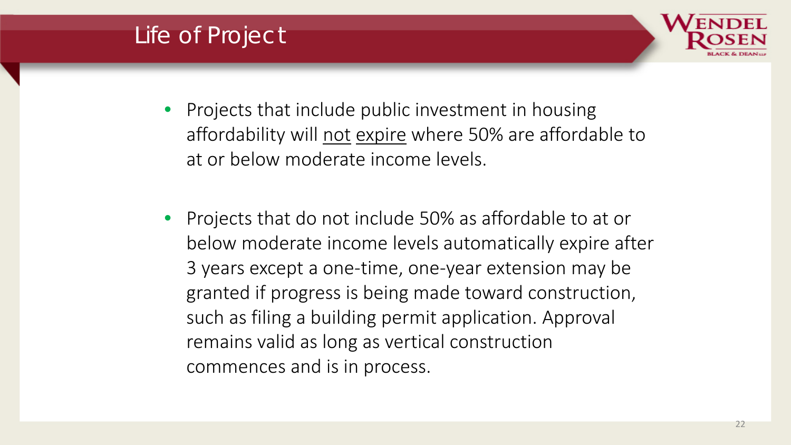# Life of Project



- Projects that include public investment in housing affordability will not expire where 50% are affordable to at or below moderate income levels.
- Projects that do not include 50% as affordable to at or below moderate income levels automatically expire after 3 years except a one-time, one-year extension may be granted if progress is being made toward construction, such as filing a building permit application. Approval remains valid as long as vertical construction commences and is in process.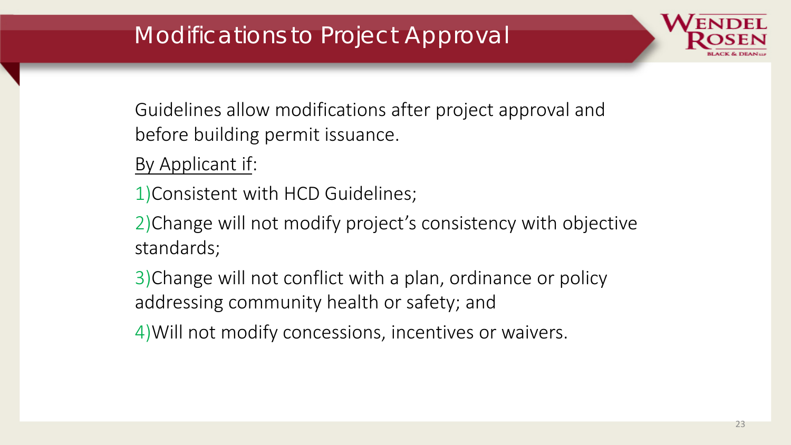# Modifications to Project Approval

Guidelines allow modifications after project approval and before building permit issuance.

By Applicant if:

1)Consistent with HCD Guidelines;

2)Change will not modify project's consistency with objective standards;

3)Change will not conflict with a plan, ordinance or policy addressing community health or safety; and

4)Will not modify concessions, incentives or waivers.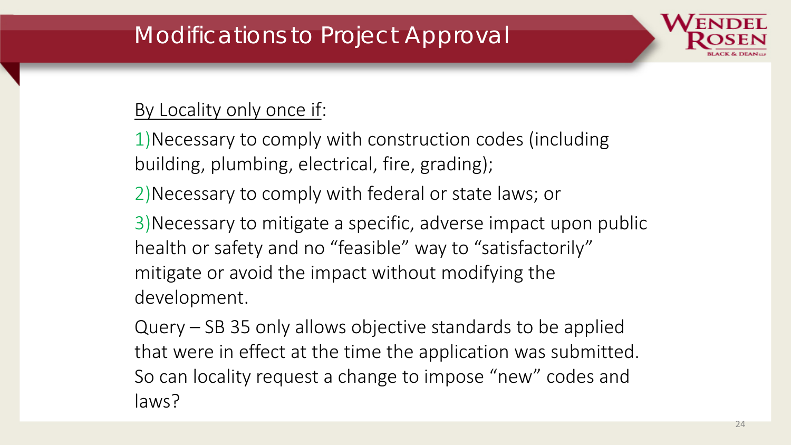# Modifications to Project Approval

#### By Locality only once if:

1)Necessary to comply with construction codes (including building, plumbing, electrical, fire, grading);

2)Necessary to comply with federal or state laws; or

3)Necessary to mitigate a specific, adverse impact upon public health or safety and no "feasible" way to "satisfactorily" mitigate or avoid the impact without modifying the development.

Query – SB 35 only allows objective standards to be applied that were in effect at the time the application was submitted. So can locality request a change to impose "new" codes and laws?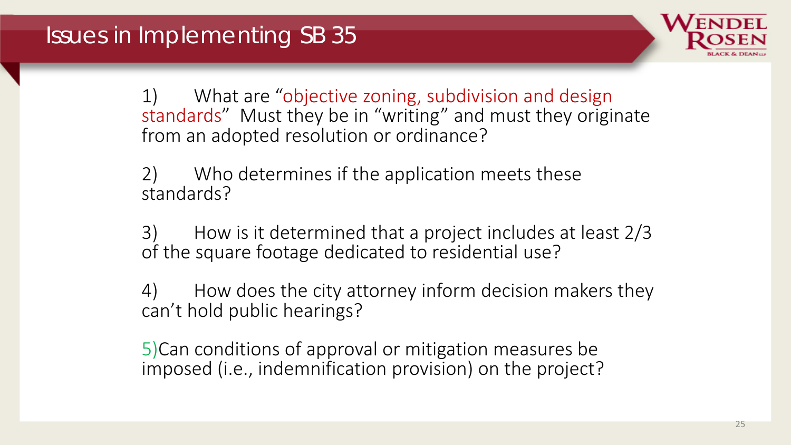

What are "objective zoning, subdivision and design standards" Must they be in "writing" and must they originate from an adopted resolution or ordinance?

2) Who determines if the application meets these standards?

3) How is it determined that a project includes at least 2/3 of the square footage dedicated to residential use?

4) How does the city attorney inform decision makers they can't hold public hearings?

5)Can conditions of approval or mitigation measures be imposed (i.e., indemnification provision) on the project?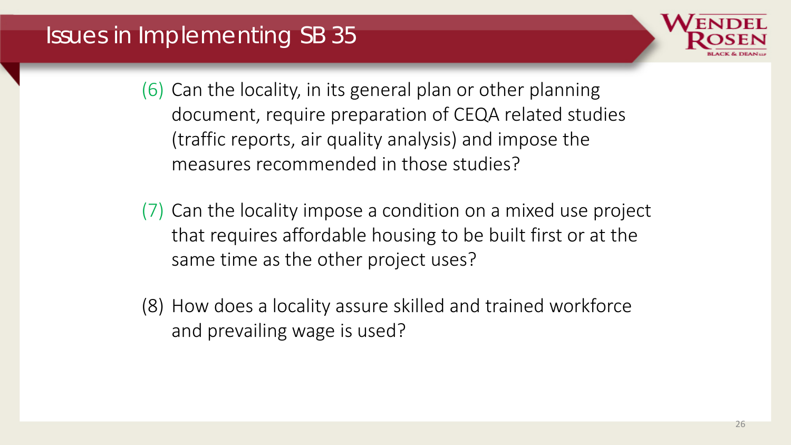## Issues in Implementing SB 35



(6) Can the locality, in its general plan or other planning document, require preparation of CEQA related studies (traffic reports, air quality analysis) and impose the measures recommended in those studies?

- (7) Can the locality impose a condition on a mixed use project that requires affordable housing to be built first or at the same time as the other project uses?
- (8) How does a locality assure skilled and trained workforce and prevailing wage is used?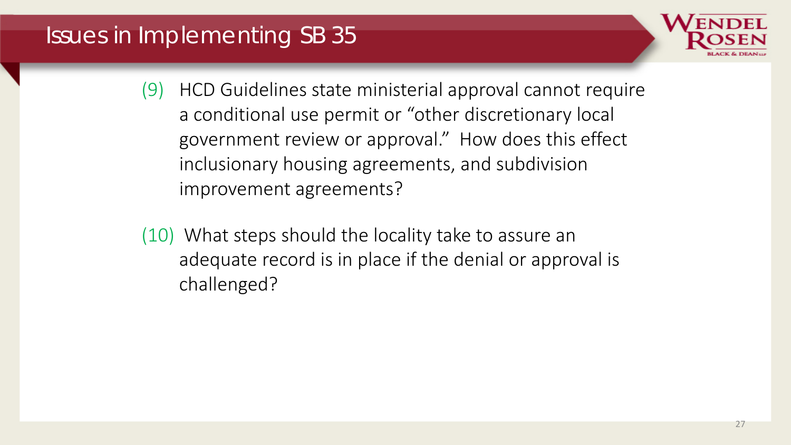# Issues in Implementing SB 35



- (9) HCD Guidelines state ministerial approval cannot require a conditional use permit or "other discretionary local government review or approval." How does this effect inclusionary housing agreements, and subdivision improvement agreements?
- (10) What steps should the locality take to assure an adequate record is in place if the denial or approval is challenged?